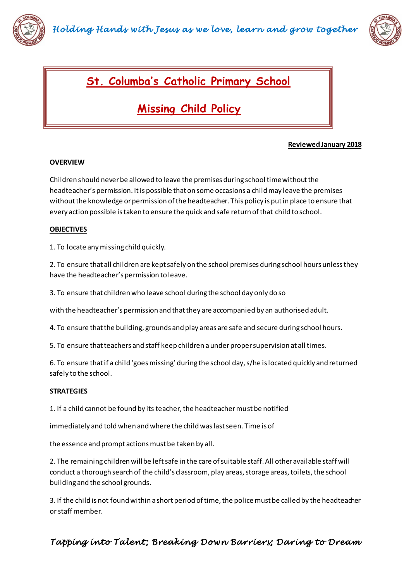



## **St. Columba's Catholic Primary School**

# **Missing Child Policy**

#### **Reviewed January 2018**

#### **OVERVIEW**

Children should never be allowed to leave the premises during school time without the headteacher's permission. It is possible that on some occasions a child may leave the premises without the knowledge or permission of the headteacher. This policy is put in place to ensure that every action possible is taken to ensure the quick and safe return of that child to school.

#### **OBJECTIVES**

1. To locate any missing child quickly.

2. To ensure that all children are kept safely on the school premises during school hours unless they have the headteacher's permission to leave.

3. To ensure that children who leave school during the school day only do so

with the headteacher's permission and that they are accompanied by an authorised adult.

4. To ensure that the building, grounds and play areas are safe and secure during school hours.

5. To ensure that teachers and staff keep children a under proper supervision at all times.

6. To ensure that if a child 'goes missing' during the school day, s/he is located quickly and returned safely to the school.

#### **STRATEGIES**

1. If a child cannot be found by its teacher, the headteacher must be notified

immediately and told when and where the child was last seen. Time is of

the essence and prompt actions must be taken by all.

2. The remaining children will be left safe in the care of suitable staff. All other available staff will conduct a thorough search of the child's classroom, play areas, storage areas, toilets, the school building and the school grounds.

3. If the child is not found within a short period of time, the police must be called by the headteacher or staff member.

### *Tapping into Talent ; Breaking Down Barriers; Daring to Dream*